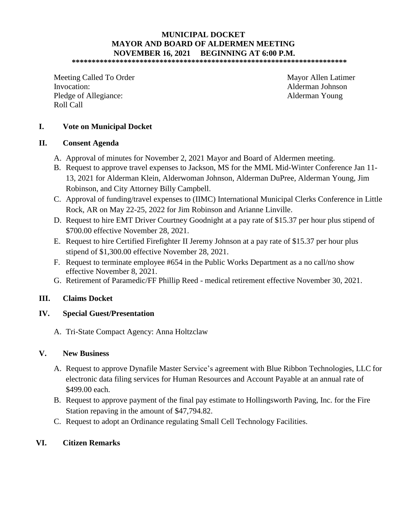# **MUNICIPAL DOCKET MAYOR AND BOARD OF ALDERMEN MEETING NOVEMBER 16, 2021 BEGINNING AT 6:00 P.M.**

**\*\*\*\*\*\*\*\*\*\*\*\*\*\*\*\*\*\*\*\*\*\*\*\*\*\*\*\*\*\*\*\*\*\*\*\*\*\*\*\*\*\*\*\*\*\*\*\*\*\*\*\*\*\*\*\*\*\*\*\*\*\*\*\*\*\*\*\*\*** 

Meeting Called To Order Mayor Allen Latimer Invocation: Alderman Johnson Pledge of Allegiance: Alderman Young Roll Call

### **I. Vote on Municipal Docket**

#### **II. Consent Agenda**

- A. Approval of minutes for November 2, 2021 Mayor and Board of Aldermen meeting.
- B. Request to approve travel expenses to Jackson, MS for the MML Mid-Winter Conference Jan 11- 13, 2021 for Alderman Klein, Alderwoman Johnson, Alderman DuPree, Alderman Young, Jim Robinson, and City Attorney Billy Campbell.
- C. Approval of funding/travel expenses to (IIMC) International Municipal Clerks Conference in Little Rock, AR on May 22-25, 2022 for Jim Robinson and Arianne Linville.
- D. Request to hire EMT Driver Courtney Goodnight at a pay rate of \$15.37 per hour plus stipend of \$700.00 effective November 28, 2021.
- E. Request to hire Certified Firefighter II Jeremy Johnson at a pay rate of \$15.37 per hour plus stipend of \$1,300.00 effective November 28, 2021.
- F. Request to terminate employee #654 in the Public Works Department as a no call/no show effective November 8, 2021.
- G. Retirement of Paramedic/FF Phillip Reed medical retirement effective November 30, 2021.

#### **III. Claims Docket**

#### **IV. Special Guest/Presentation**

A. Tri-State Compact Agency: Anna Holtzclaw

#### **V. New Business**

- A. Request to approve Dynafile Master Service's agreement with Blue Ribbon Technologies, LLC for electronic data filing services for Human Resources and Account Payable at an annual rate of \$499.00 each.
- B. Request to approve payment of the final pay estimate to Hollingsworth Paving, Inc. for the Fire Station repaving in the amount of \$47,794.82.
- C. Request to adopt an Ordinance regulating Small Cell Technology Facilities.

#### **VI. Citizen Remarks**